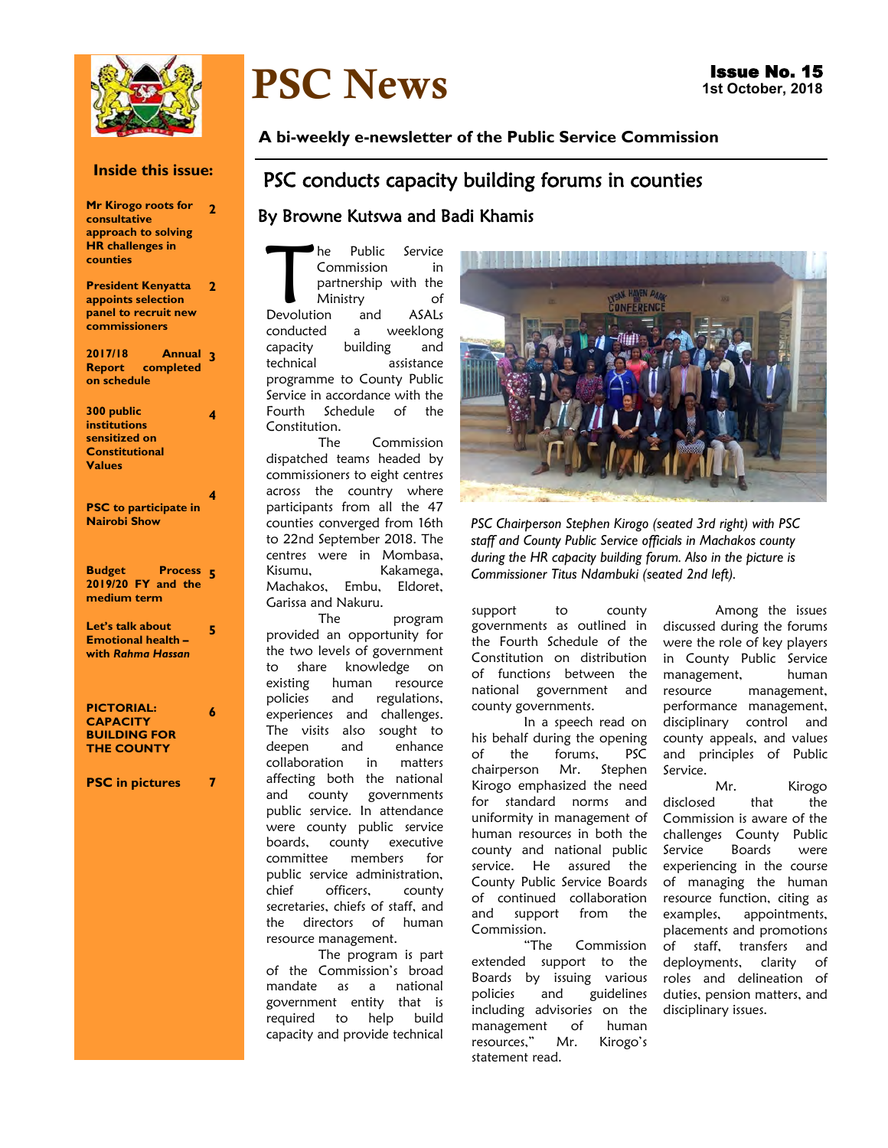

## **Inside this issue:**

| Mr Kirogo roots for<br>consultative<br>approach to solving<br><b>HR</b> challenges in<br>counties | 2 |
|---------------------------------------------------------------------------------------------------|---|
| <b>President Kenyatta</b><br>appoints selection<br>panel to recruit new<br>commissioners          | 2 |
| 2017/18<br>Annual<br><b>Report completed</b><br>on schedule                                       | 3 |
| 300 public<br><b>institutions</b><br>sensitized on<br><b>Constitutional</b><br><b>Values</b>      | 4 |
| <b>PSC</b> to participate in<br><b>Nairobi Show</b>                                               | 4 |
| <b>Budget Process</b><br>2019/20 FY and the<br>medium term                                        | 5 |
| Let's talk about<br><b>Emotional health -</b><br>with Rahma Hassan                                | 5 |
| <b>PICTORIAL:</b><br><b>CAPACITY</b><br><b>BUILDING FOR</b><br><b>THE COUNTY</b>                  | 6 |
| <b>PSC</b> in pictures                                                                            |   |

# PSC News

**A bi-weekly e-newsletter of the Public Service Commission** 

## PSC conducts capacity building forums in counties

## By Browne Kutswa and Badi Khamis

The Public Service<br>
Commission in<br>
partnership with the<br>
Ministry of<br>
Devolution and ASALs he Public Service Commission in partnership with the Ministry of conducted a weeklong capacity building and technical assistance programme to County Public Service in accordance with the Fourth Schedule of the Constitution.

The Commission dispatched teams headed by commissioners to eight centres across the country where participants from all the 47 counties converged from 16th to 22nd September 2018. The centres were in Mombasa, Kisumu, Kakamega, Machakos, Embu, Eldoret, Garissa and Nakuru.

The program provided an opportunity for the two levels of government to share knowledge on existing human resource policies and regulations, experiences and challenges. The visits also sought to deepen and enhance collaboration in matters affecting both the national and county governments public service. In attendance were county public service boards, county executive committee members for public service administration, chief officers, county secretaries, chiefs of staff, and the directors of human resource management.

The program is part of the Commission's broad mandate as a national government entity that is required to help build capacity and provide technical



*PSC Chairperson Stephen Kirogo (seated 3rd right) with PSC staff and County Public Service officials in Machakos county during the HR capacity building forum. Also in the picture is Commissioner Titus Ndambuki (seated 2nd left).*

support to county governments as outlined in the Fourth Schedule of the Constitution on distribution of functions between the national government and county governments.

In a speech read on his behalf during the opening of the forums, PSC<br>chairperson Mr. Stephen chairperson Mr. Kirogo emphasized the need for standard norms and uniformity in management of human resources in both the county and national public service. He assured the County Public Service Boards of continued collaboration and support from the Commission.

"The Commission extended support to the Boards by issuing various policies and guidelines including advisories on the management of human resources," Mr. Kirogo's statement read.

Among the issues discussed during the forums were the role of key players in County Public Service management, human resource management, performance management, disciplinary control and county appeals, and values and principles of Public Service.

Mr. Kirogo disclosed that the Commission is aware of the challenges County Public Service Boards were experiencing in the course of managing the human resource function, citing as examples, appointments, placements and promotions of staff, transfers and deployments, clarity of roles and delineation of duties, pension matters, and disciplinary issues.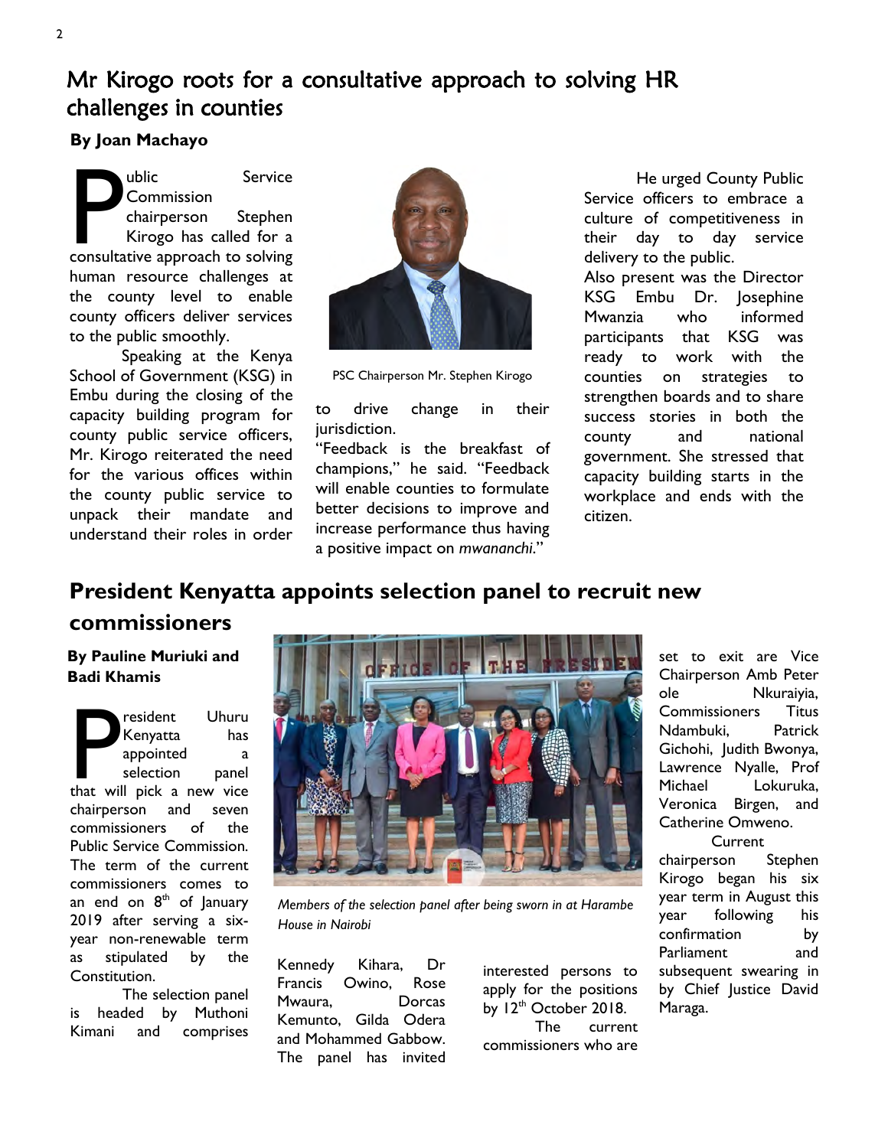# Mr Kirogo roots for a consultative approach to solving HR challenges in counties

## **By Joan Machayo**

**Phono Commission**<br> **Commission**<br> **Commission**<br> **Consultative approach to solving**<br> **Consultative approach to solving** ublic Service **Commission** chairperson Stephen Kirogo has called for a human resource challenges at the county level to enable county officers deliver services to the public smoothly.

Speaking at the Kenya School of Government (KSG) in Embu during the closing of the capacity building program for county public service officers, Mr. Kirogo reiterated the need for the various offices within the county public service to unpack their mandate and understand their roles in order



PSC Chairperson Mr. Stephen Kirogo

to drive change in their jurisdiction.

"Feedback is the breakfast of champions," he said. "Feedback will enable counties to formulate better decisions to improve and increase performance thus having a positive impact on *mwananchi*."

He urged County Public Service officers to embrace a culture of competitiveness in their day to day service delivery to the public.

Also present was the Director KSG Embu Dr. Josephine Mwanzia who informed participants that KSG was ready to work with the counties on strategies to strengthen boards and to share success stories in both the county and national government. She stressed that capacity building starts in the workplace and ends with the citizen.

# **President Kenyatta appoints selection panel to recruit new commissioners**

**By Pauline Muriuki and Badi Khamis**

Pesident Uhuru<br>
Kenyatta has<br>
appointed a<br>
selection panel<br>
that will pick a new vice resident Uhuru Kenyatta has appointed a selection panel chairperson and seven commissioners of the Public Service Commission. The term of the current commissioners comes to an end on  $8<sup>th</sup>$  of January 2019 after serving a sixyear non-renewable term as stipulated by the Constitution.

The selection panel is headed by Muthoni Kimani and comprises



*Members of the selection panel after being sworn in at Harambe House in Nairobi* 

Kennedy Kihara, Dr Francis Owino, Rose Mwaura, Dorcas Kemunto, Gilda Odera and Mohammed Gabbow. The panel has invited

interested persons to apply for the positions by  $12<sup>th</sup>$  October 2018. The current commissioners who are set to exit are Vice Chairperson Amb Peter ole Nkuraiyia, Commissioners Titus Ndambuki, Patrick Gichohi, Judith Bwonya, Lawrence Nyalle, Prof Michael Lokuruka, Veronica Birgen, and Catherine Omweno.

Current chairperson Stephen Kirogo began his six year term in August this year following his confirmation by Parliament and subsequent swearing in by Chief Justice David Maraga.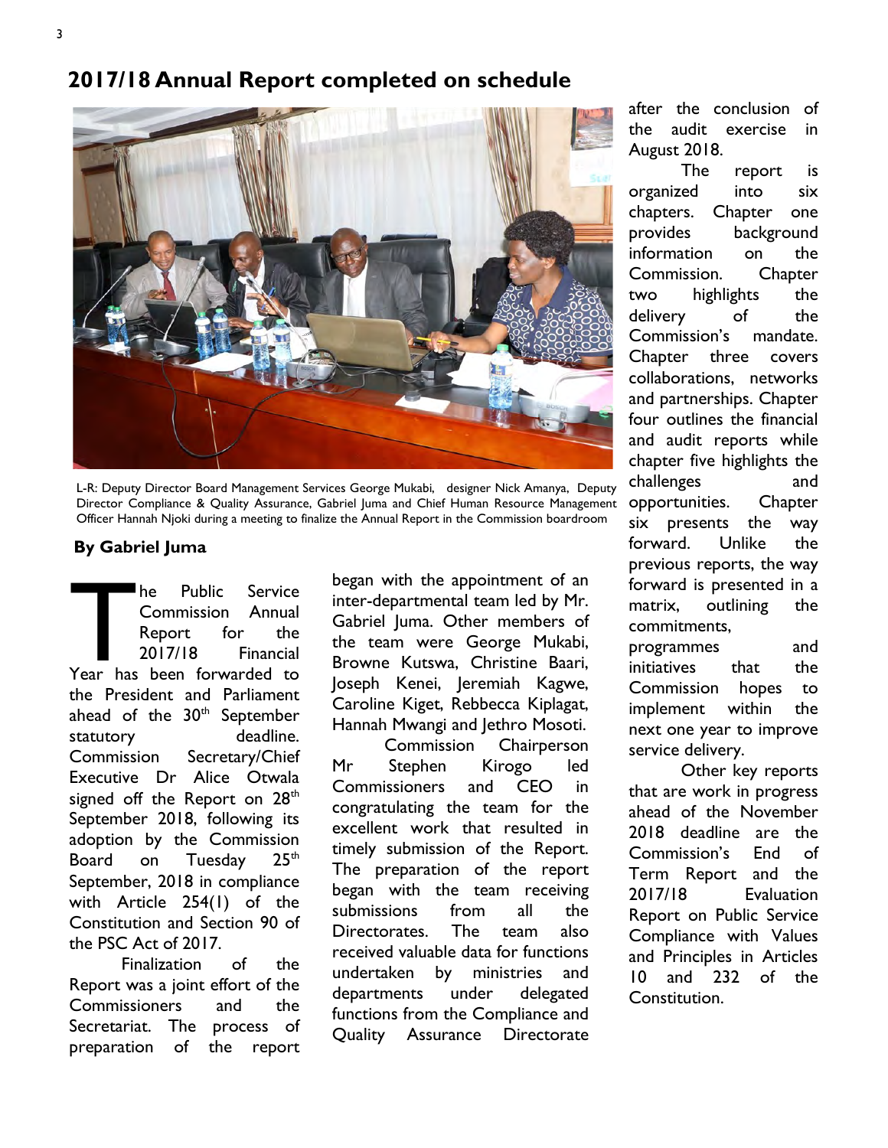# **2017/18 Annual Report completed on schedule**



L-R: Deputy Director Board Management Services George Mukabi, designer Nick Amanya, Deputy Director Compliance & Quality Assurance, Gabriel Juma and Chief Human Resource Management Officer Hannah Njoki during a meeting to finalize the Annual Report in the Commission boardroom

## **By Gabriel Juma**

The Public Service<br>
Commission Annual<br>
Report for the<br>
2017/18 Financial<br>
Year has been forwarded to he Public Service Commission Annual Report for the 2017/18 Financial the President and Parliament ahead of the  $30<sup>th</sup>$  September statutory deadline. Commission Secretary/Chief Executive Dr Alice Otwala signed off the Report on  $28<sup>th</sup>$ September 2018, following its adoption by the Commission Board on Tuesday 25<sup>th</sup> September, 2018 in compliance with Article 254(1) of the Constitution and Section 90 of the PSC Act of 2017.

Finalization of the Report was a joint effort of the Commissioners and the Secretariat. The process of preparation of the report

began with the appointment of an inter-departmental team led by Mr. Gabriel Juma. Other members of the team were George Mukabi, Browne Kutswa, Christine Baari, Joseph Kenei, Jeremiah Kagwe, Caroline Kiget, Rebbecca Kiplagat, Hannah Mwangi and Jethro Mosoti.

Commission Chairperson Mr Stephen Kirogo led Commissioners and CEO in congratulating the team for the excellent work that resulted in timely submission of the Report. The preparation of the report began with the team receiving submissions from all the Directorates. The team also received valuable data for functions undertaken by ministries and departments under delegated functions from the Compliance and Quality Assurance Directorate after the conclusion of the audit exercise in August 2018.

The report is organized into six chapters. Chapter one provides background information on the Commission. Chapter two highlights the delivery of the Commission's mandate. Chapter three covers collaborations, networks and partnerships. Chapter four outlines the financial and audit reports while chapter five highlights the challenges and opportunities. Chapter six presents the way forward. Unlike the previous reports, the way forward is presented in a matrix, outlining the commitments,

programmes and initiatives that the Commission hopes to implement within the next one year to improve service delivery.

Other key reports that are work in progress ahead of the November 2018 deadline are the Commission's End of Term Report and the 2017/18 Evaluation Report on Public Service Compliance with Values and Principles in Articles 10 and 232 of the Constitution.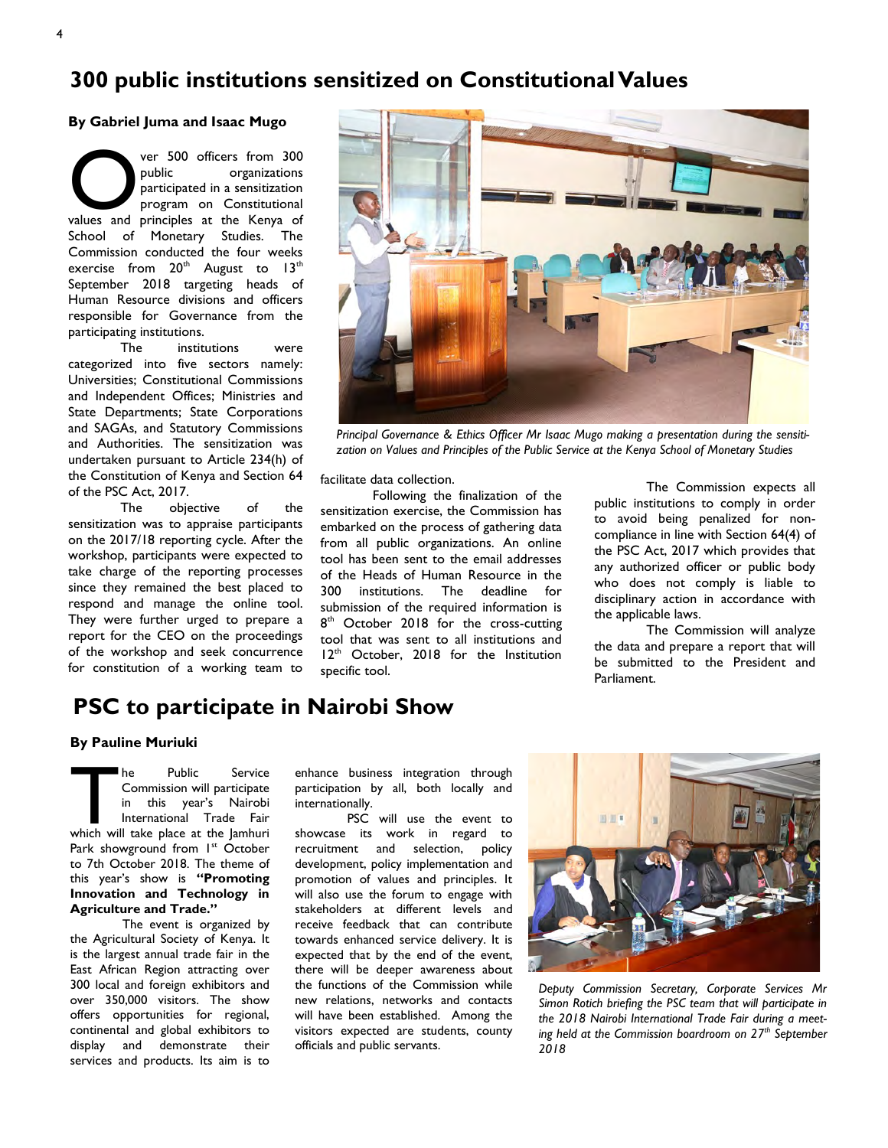# **300 public institutions sensitized on Constitutional Values**

#### **By Gabriel Juma and Isaac Mugo**

ver 500 officers from 300<br>
public organizations<br>
participated in a sensitization<br>
program on Constitutional<br>
values and principles at the Kenya of ver 500 officers from 300 public organizations participated in a sensitization program on Constitutional School of Monetary Studies. The Commission conducted the four weeks exercise from  $20<sup>th</sup>$  August to  $13<sup>th</sup>$ September 2018 targeting heads of Human Resource divisions and officers responsible for Governance from the participating institutions.

The institutions were categorized into five sectors namely: Universities; Constitutional Commissions and Independent Offices; Ministries and State Departments; State Corporations and SAGAs, and Statutory Commissions and Authorities. The sensitization was undertaken pursuant to Article 234(h) of the Constitution of Kenya and Section 64 of the PSC Act, 2017.

The objective of the sensitization was to appraise participants on the 2017/18 reporting cycle. After the workshop, participants were expected to take charge of the reporting processes since they remained the best placed to respond and manage the online tool. They were further urged to prepare a report for the CEO on the proceedings of the workshop and seek concurrence for constitution of a working team to



*Principal Governance & Ethics Officer Mr Isaac Mugo making a presentation during the sensitization on Values and Principles of the Public Service at the Kenya School of Monetary Studies* 

facilitate data collection.

Following the finalization of the sensitization exercise, the Commission has embarked on the process of gathering data from all public organizations. An online tool has been sent to the email addresses of the Heads of Human Resource in the 300 institutions. The deadline for submission of the required information is 8<sup>th</sup> October 2018 for the cross-cutting tool that was sent to all institutions and  $12<sup>th</sup>$  October, 2018 for the Institution specific tool.

The Commission expects all public institutions to comply in order to avoid being penalized for noncompliance in line with Section 64(4) of the PSC Act, 2017 which provides that any authorized officer or public body who does not comply is liable to disciplinary action in accordance with the applicable laws.

The Commission will analyze the data and prepare a report that will be submitted to the President and Parliament.

## **PSC to participate in Nairobi Show**

#### **By Pauline Muriuki**

The Public Service<br>
Commission will participate<br>
in this year's Nairobi<br>
International Trade Fair<br>
which will take place at the Jamhuri he Public Service Commission will participate in this year's Nairobi International Trade Fair Park showground from 1<sup>st</sup> October to 7th October 2018. The theme of this year's show is **"Promoting Innovation and Technology in Agriculture and Trade."**

The event is organized by the Agricultural Society of Kenya. It is the largest annual trade fair in the East African Region attracting over 300 local and foreign exhibitors and over 350,000 visitors. The show offers opportunities for regional, continental and global exhibitors to display and demonstrate their services and products. Its aim is to

enhance business integration through participation by all, both locally and internationally.

PSC will use the event to showcase its work in regard to recruitment and selection, policy development, policy implementation and promotion of values and principles. It will also use the forum to engage with stakeholders at different levels and receive feedback that can contribute towards enhanced service delivery. It is expected that by the end of the event, there will be deeper awareness about the functions of the Commission while new relations, networks and contacts will have been established. Among the visitors expected are students, county officials and public servants.



*Deputy Commission Secretary, Corporate Services Mr Simon Rotich briefing the PSC team that will participate in the 2018 Nairobi International Trade Fair during a meeting held at the Commission boardroom on 27th September 2018*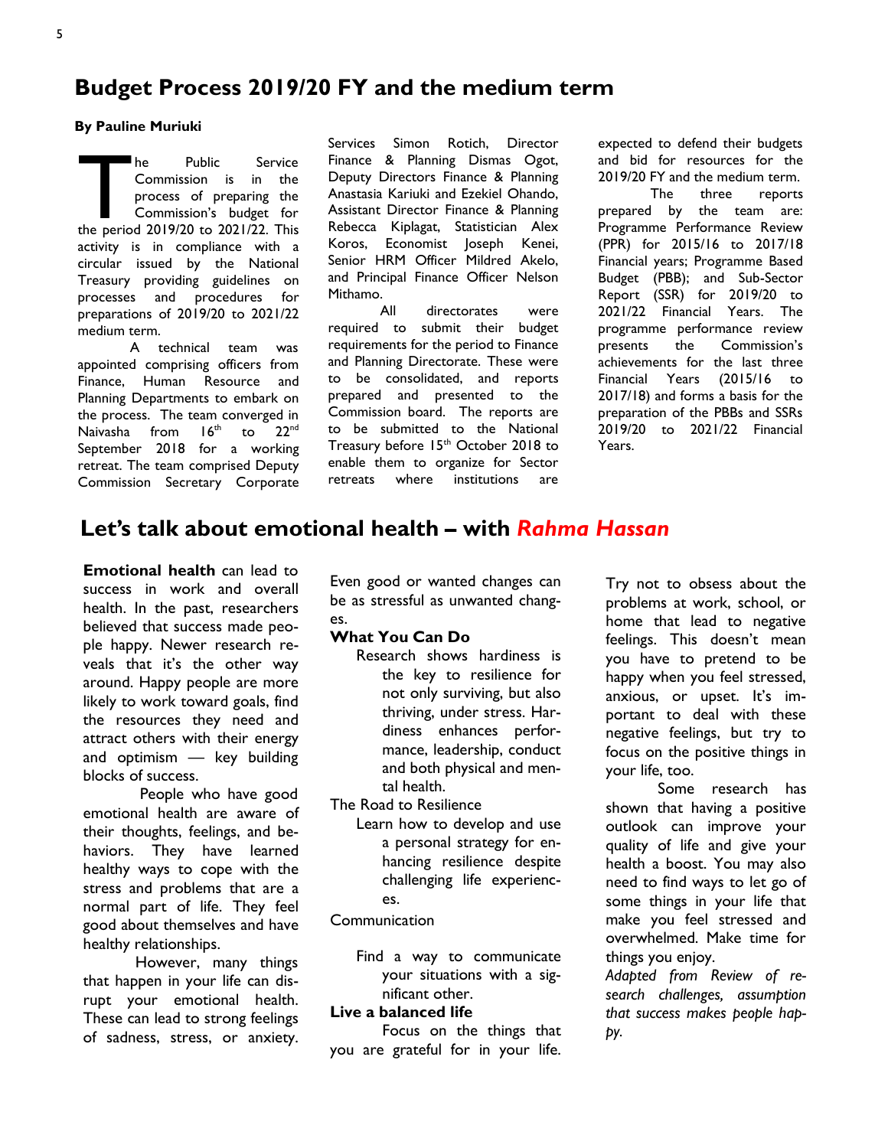# **Budget Process 2019/20 FY and the medium term**

#### **By Pauline Muriuki**

The Public Service<br>
Commission is in the<br>
process of preparing the<br>
Commission's budget for<br>
the period 2019/20 to 2021/22. This he Public Service Commission is in the process of preparing the Commission's budget for activity is in compliance with a circular issued by the National Treasury providing guidelines on processes and procedures for preparations of 2019/20 to 2021/22 medium term.

A technical team was appointed comprising officers from Finance, Human Resource and Planning Departments to embark on the process. The team converged in Naivasha from 16<sup>th</sup> to 22<sup>nd</sup> September 2018 for a working retreat. The team comprised Deputy Commission Secretary Corporate

Services Simon Rotich, Director Finance & Planning Dismas Ogot, Deputy Directors Finance & Planning Anastasia Kariuki and Ezekiel Ohando, Assistant Director Finance & Planning Rebecca Kiplagat, Statistician Alex Koros, Economist Joseph Kenei, Senior HRM Officer Mildred Akelo, and Principal Finance Officer Nelson Mithamo.

All directorates were required to submit their budget requirements for the period to Finance and Planning Directorate. These were to be consolidated, and reports prepared and presented to the Commission board. The reports are to be submitted to the National Treasury before 15<sup>th</sup> October 2018 to enable them to organize for Sector retreats where institutions are

expected to defend their budgets and bid for resources for the 2019/20 FY and the medium term.

The three reports prepared by the team are: Programme Performance Review (PPR) for 2015/16 to 2017/18 Financial years; Programme Based Budget (PBB); and Sub-Sector Report (SSR) for 2019/20 to 2021/22 Financial Years. The programme performance review presents the Commission's achievements for the last three Financial Years (2015/16 to 2017/18) and forms a basis for the preparation of the PBBs and SSRs 2019/20 to 2021/22 Financial Years.

# **Let's talk about emotional health – with** *Rahma Hassan*

**Emotional health** can lead to success in work and overall health. In the past, researchers believed that success made people happy. Newer research reveals that it's the other way around. Happy people are more likely to work toward goals, find the resources they need and attract others with their energy and optimism — key building blocks of success.

People who have good emotional health are aware of their thoughts, feelings, and behaviors. They have learned healthy ways to cope with the stress and problems that are a normal part of life. They feel good about themselves and have healthy relationships.

However, many things that happen in your life can disrupt your emotional health. These can lead to strong feelings of sadness, stress, or anxiety.

Even good or wanted changes can be as stressful as unwanted changes.

## **What You Can Do**

Research shows hardiness is the key to resilience for not only surviving, but also thriving, under stress. Hardiness enhances performance, leadership, conduct and both physical and mental health.

[The Road to Resilience](http://www.apa.org/helpcenter/road-resilience.aspx)

Learn how to develop and use a personal strategy for enhancing resilience despite challenging life experiences.

#### [Communication](http://www.apa.org/helpcenter/communication-parents.aspx)

Find a way to communicate your situations with a significant other.

#### **Live a balanced life**

Focus on the things that you are grateful for in your life. Try not to obsess about the problems at work, school, or home that lead to negative feelings. This doesn't mean you have to pretend to be happy when you feel stressed, anxious, or upset. It's important to deal with these negative feelings, but try to focus on the positive things in your life, too.

Some research has shown that having a positive outlook can improve your quality of life and give your health a boost. You may also need to find ways to let go of some things in your life that make you feel stressed and overwhelmed. Make time for things you enjoy.

*Adapted from Review of research challenges, assumption that success makes people happy.*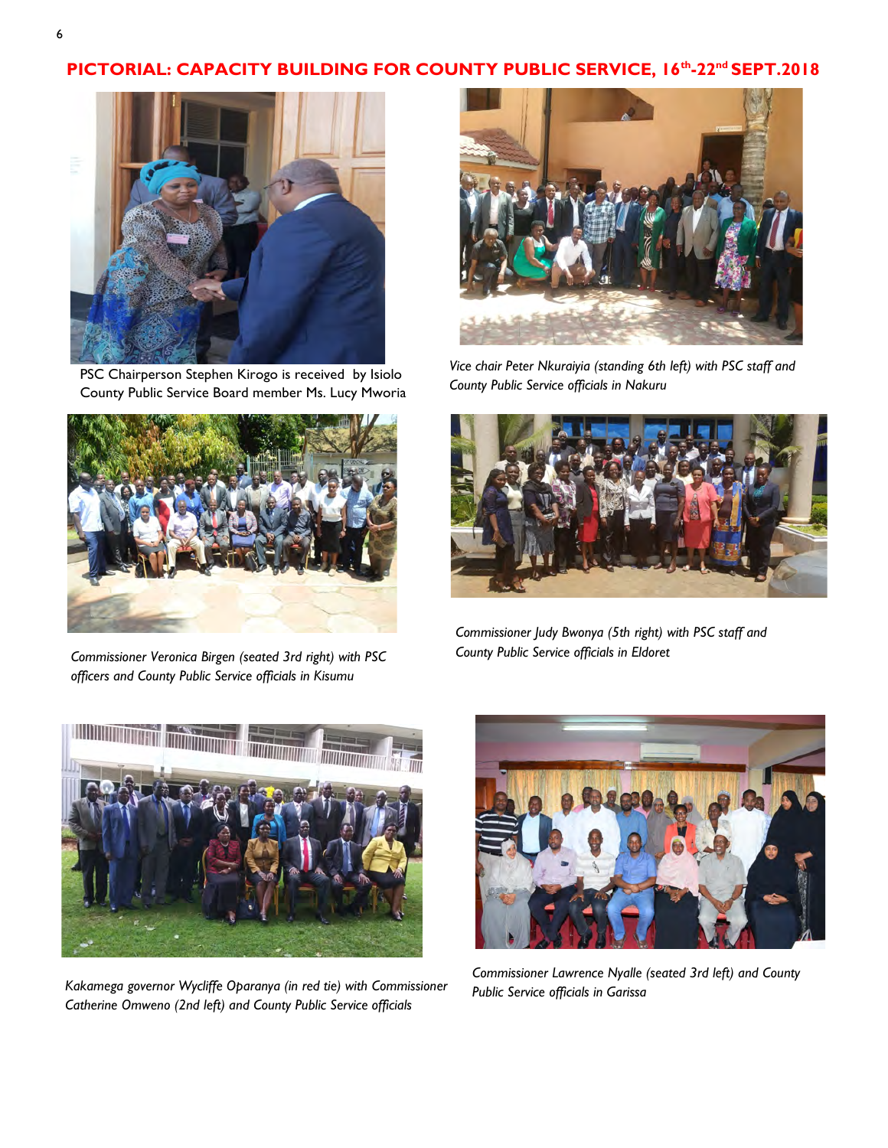## **PICTORIAL: CAPACITY BUILDING FOR COUNTY PUBLIC SERVICE, 16th -22nd SEPT.2018**



PSC Chairperson Stephen Kirogo is received by Isiolo County Public Service Board member Ms. Lucy Mworia



*Commissioner Veronica Birgen (seated 3rd right) with PSC officers and County Public Service officials in Kisumu* 



*Vice chair Peter Nkuraiyia (standing 6th left) with PSC staff and County Public Service officials in Nakuru*



*Commissioner Judy Bwonya (5th right) with PSC staff and County Public Service officials in Eldoret* 



*Kakamega governor Wycliffe Oparanya (in red tie) with Commissioner Catherine Omweno (2nd left) and County Public Service officials* 



*Commissioner Lawrence Nyalle (seated 3rd left) and County Public Service officials in Garissa*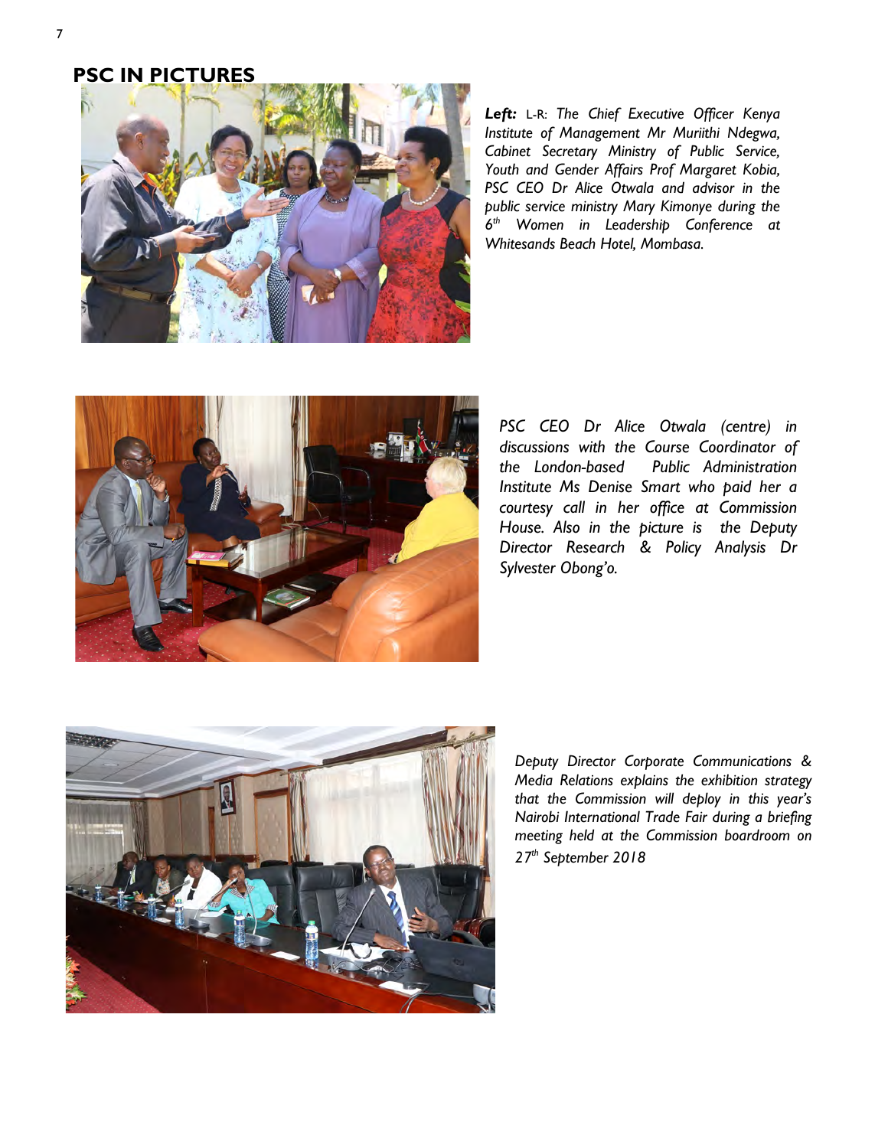## **PSC IN PICTURES**



*Left:* L-R: *The Chief Executive Officer Kenya Institute of Management Mr Muriithi Ndegwa, Cabinet Secretary Ministry of Public Service, Youth and Gender Affairs Prof Margaret Kobia, PSC CEO Dr Alice Otwala and advisor in the public service ministry Mary Kimonye during the 6 th Women in Leadership Conference at Whitesands Beach Hotel, Mombasa.*



*PSC CEO Dr Alice Otwala (centre) in discussions with the Course Coordinator of the London-based Public Administration Institute Ms Denise Smart who paid her a courtesy call in her office at Commission House. Also in the picture is the Deputy Director Research & Policy Analysis Dr Sylvester Obong'o.*



*Deputy Director Corporate Communications & Media Relations explains the exhibition strategy that the Commission will deploy in this year's Nairobi International Trade Fair during a briefing meeting held at the Commission boardroom on 27th September 2018*